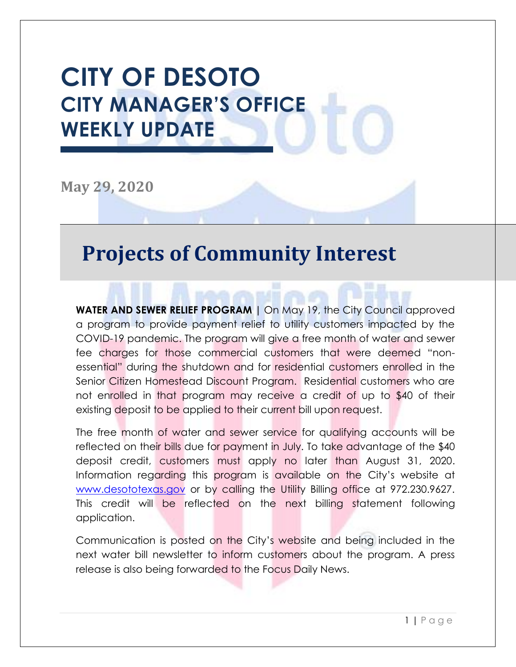# **CITY OF DESOTO CITY MANAGER'S OFFICE WEEKLY UPDATE**

**May 29, 2020**

#### **Projects of Community Interest**

**WATER AND SEWER RELIEF PROGRAM |** On May 19, the City Council approved a program to provide payment relief to utility customers impacted by the COVID-19 pandemic. The program will give a free month of water and sewer fee charges for those commercial customers that were deemed "nonessential" during the shutdown and for residential customers enrolled in the Senior Citizen Homestead Discount Program. Residential customers who are not enrolled in that program may receive a credit of up to \$40 of their existing deposit to be applied to their current bill upon request.

The free month of water and sewer service for qualifying accounts will be reflected on their bills due for payment in July. To take advantage of the \$40 deposit credit, customers must apply no later than August 31, 2020. Information regarding this program is available on the City's website at [www.desototexas.gov](file:///C:/Users/NAumedes/AppData/Local/Microsoft/Windows/INetCache/Content.Outlook/4QP718Q4/www.desototexas.gov) or by calling the Utility Billing office at 972.230.9627. This credit will be reflected on the next billing statement following application.

Communication is posted on the City's website and being included in the next water bill newsletter to inform customers about the program. A press release is also being forwarded to the Focus Daily News.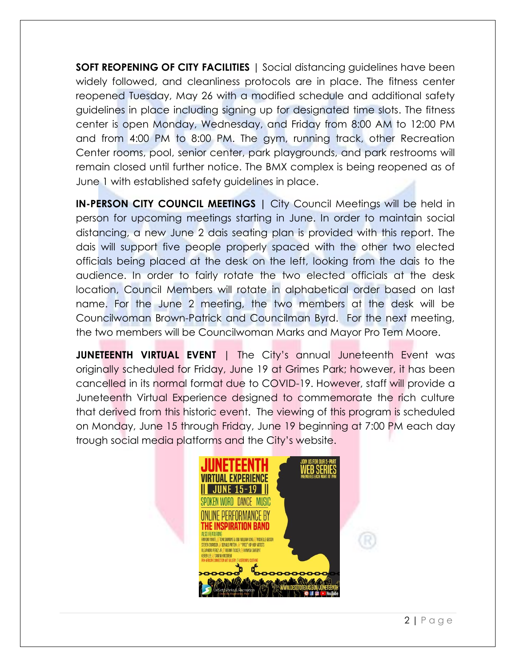**SOFT REOPENING OF CITY FACILITIES** | Social distancing guidelines have been widely followed, and cleanliness protocols are in place. The fitness center reopened Tuesday, May 26 with a modified schedule and additional safety guidelines in place including signing up for designated time slots. The fitness center is open Monday, Wednesday, and Friday from 8:00 AM to 12:00 PM and from 4:00 PM to 8:00 PM. The gym, running track, other Recreation Center rooms, pool, senior center, park playgrounds, and park restrooms will remain closed until further notice. The BMX complex is being reopened as of June 1 with established safety guidelines in place.

**IN-PERSON CITY COUNCIL MEETINGS |** City Council Meetings will be held in person for upcoming meetings starting in June. In order to maintain social distancing, a new June 2 dais seating plan is provided with this report. The dais will support five people properly spaced with the other two elected officials being placed at the desk on the left, looking from the dais to the audience. In order to fairly rotate the two elected officials at the desk location, Council Members will rotate in alphabetical order based on last name. For the June 2 meeting, the two members at the desk will be Councilwoman Brown-Patrick and Councilman Byrd. For the next meeting, the two members will be Councilwoman Marks and Mayor Pro Tem Moore.

**JUNETEENTH VIRTUAL EVENT** | The City's annual Juneteenth Event was originally scheduled for Friday, June 19 at Grimes Park; however, it has been cancelled in its normal format due to COVID-19. However, staff will provide a Juneteenth Virtual Experience designed to commemorate the rich culture that derived from this historic event. The viewing of this program is scheduled on Monday, June 15 through Friday, June 19 beginning at 7:00 PM each day trough social media platforms and the City's website.

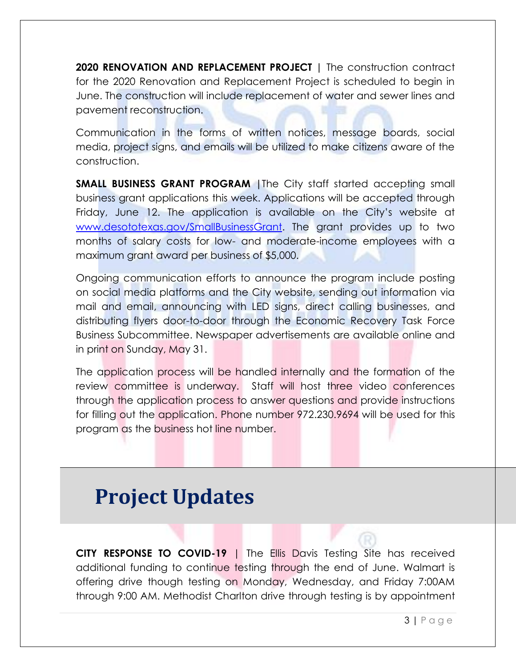**2020 RENOVATION AND REPLACEMENT PROJECT |** The construction contract for the 2020 Renovation and Replacement Project is scheduled to begin in June. The construction will include replacement of water and sewer lines and pavement reconstruction.

Communication in the forms of written notices, message boards, social media, project signs, and emails will be utilized to make citizens aware of the construction.

**SMALL BUSINESS GRANT PROGRAM |**The City staff started accepting small business grant applications this week. Applications will be accepted through Friday, June 12. The application is available on the City's website at [www.desototexas.gov/SmallBusinessGrant.](file:///C:/Users/NAumedes/AppData/Local/Microsoft/Windows/INetCache/Content.Outlook/4QP718Q4/www.desototexas.gov/SmallBusinessGrant) The grant provides up to two months of salary costs for low- and moderate-income employees with a maximum grant award per business of \$5,000.

Ongoing communication efforts to announce the program include posting on social media platforms and the City website, sending out information via mail and email, announcing with LED signs, direct calling businesses, and distributing flyers door-to-door through the Economic Recovery Task Force Business Subcommittee. Newspaper advertisements are available online and in print on Sunday, May 31.

The application process will be handled internally and the formation of the review committee is underway. Staff will host three video conferences through the application process to answer questions and provide instructions for filling out the application. Phone number 972.230.9694 will be used for this program as the business hot line number.

## **Project Updates**

**CITY RESPONSE TO COVID-19** | The Ellis Davis Testing Site has received additional funding to continue testing through the end of June. Walmart is offering drive though testing on Monday, Wednesday, and Friday 7:00AM through 9:00 AM. Methodist Charlton drive through testing is by appointment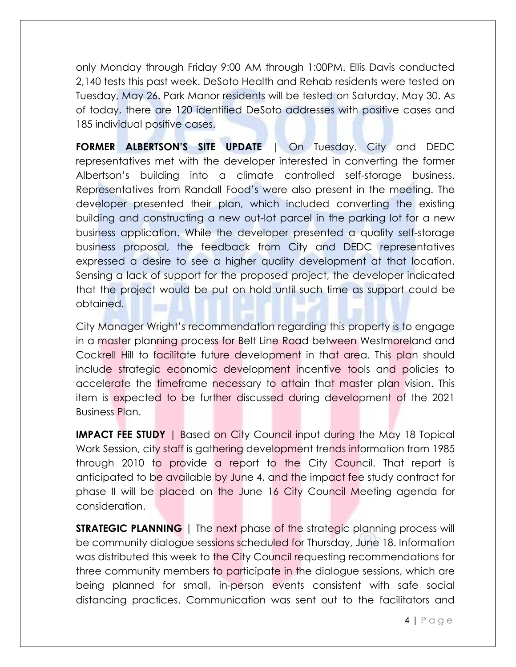only Monday through Friday 9:00 AM through 1:00PM. Ellis Davis conducted 2,140 tests this past week. DeSoto Health and Rehab residents were tested on Tuesday, May 26. Park Manor residents will be tested on Saturday, May 30. As of today, there are 120 identified DeSoto addresses with positive cases and 185 individual positive cases.

**FORMER ALBERTSON'S SITE UPDATE** | On Tuesday, City and DEDC representatives met with the developer interested in converting the former Albertson's building into a climate controlled self-storage business. Representatives from Randall Food's were also present in the meeting. The developer presented their plan, which included converting the existing building and constructing a new out-lot parcel in the parking lot for a new business application. While the developer presented a quality self-storage business proposal, the feedback from City and DEDC representatives expressed a desire to see a higher quality development at that location. Sensing a lack of support for the proposed project, the developer indicated that the project would be put on hold until such time as support could be obtained.

City Manager Wright's recommendation regarding this property is to engage in a master planning process for Belt Line Road between Westmoreland and Cockrell Hill to facilitate future development in that area. This plan should include strategic economic development incentive tools and policies to accelerate the timeframe necessary to attain that master plan vision. This item is expected to be further discussed during development of the 2021 Business Plan.

**IMPACT FEE STUDY** | Based on City Council input during the May 18 Topical Work Session, city staff is gathering development trends information from 1985 through 2010 to provide a report to the City Council. That report is anticipated to be available by June 4, and the impact fee study contract for phase II will be placed on the June 16 City Council Meeting agenda for consideration.

**STRATEGIC PLANNING** | The next phase of the strategic planning process will be community dialogue sessions scheduled for Thursday, June 18. Information was distributed this week to the City Council requesting recommendations for three community members to participate in the dialogue sessions, which are being planned for small, in-person events consistent with safe social distancing practices. Communication was sent out to the facilitators and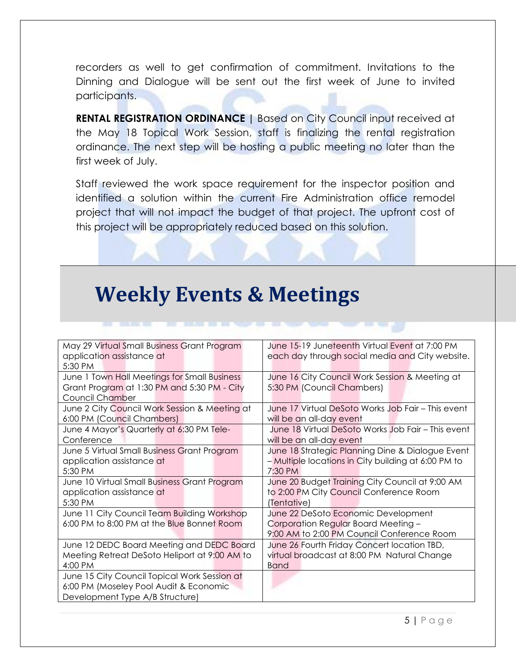recorders as well to get confirmation of commitment. Invitations to the Dinning and Dialogue will be sent out the first week of June to invited participants.

**RENTAL REGISTRATION ORDINANCE |** Based on City Council input received at the May 18 Topical Work Session, staff is finalizing the rental registration ordinance. The next step will be hosting a public meeting no later than the first week of July.

Staff reviewed the work space requirement for the inspector position and identified a solution within the current Fire Administration office remodel project that will not impact the budget of that project. The upfront cost of this project will be appropriately reduced based on this solution.

### **Weekly Events & Meetings**

| May 29 Virtual Small Business Grant Program   | June 15-19 Juneteenth Virtual Event at 7:00 PM      |  |
|-----------------------------------------------|-----------------------------------------------------|--|
| application assistance at                     | each day through social media and City website.     |  |
| 5:30 PM                                       |                                                     |  |
| June 1 Town Hall Meetings for Small Business  | June 16 City Council Work Session & Meeting at      |  |
| Grant Program at 1:30 PM and 5:30 PM - City   | 5:30 PM (Council Chambers)                          |  |
| Council Chamber                               |                                                     |  |
| June 2 City Council Work Session & Meeting at | June 17 Virtual DeSoto Works Job Fair – This event  |  |
| 6:00 PM (Council Chambers)                    | will be an all-day event                            |  |
| June 4 Mayor's Quarterly at 6:30 PM Tele-     | June 18 Virtual DeSoto Works Job Fair - This event  |  |
| Conference                                    | will be an all-day event                            |  |
| June 5 Virtual Small Business Grant Program   | June 18 Strategic Planning Dine & Dialogue Event    |  |
| application assistance at                     | - Multiple locations in City building at 6:00 PM to |  |
| 5:30 PM                                       | 7:30 PM                                             |  |
| June 10 Virtual Small Business Grant Program  | June 20 Budget Training City Council at 9:00 AM     |  |
| application assistance at                     | to 2:00 PM City Council Conference Room             |  |
| 5:30 PM                                       | (Tentative)                                         |  |
| June 11 City Council Team Building Workshop   | June 22 DeSoto Economic Development                 |  |
| 6:00 PM to 8:00 PM at the Blue Bonnet Room    | Corporation Regular Board Meeting -                 |  |
|                                               | 9:00 AM to 2:00 PM Council Conference Room          |  |
| June 12 DEDC Board Meeting and DEDC Board     | June 26 Fourth Friday Concert location TBD,         |  |
| Meeting Retreat DeSoto Heliport at 9:00 AM to | virtual broadcast at 8:00 PM Natural Change         |  |
| 4:00 PM                                       | <b>Band</b>                                         |  |
| June 15 City Council Topical Work Session at  |                                                     |  |
| 6:00 PM (Moseley Pool Audit & Economic        |                                                     |  |
| Development Type A/B Structure)               |                                                     |  |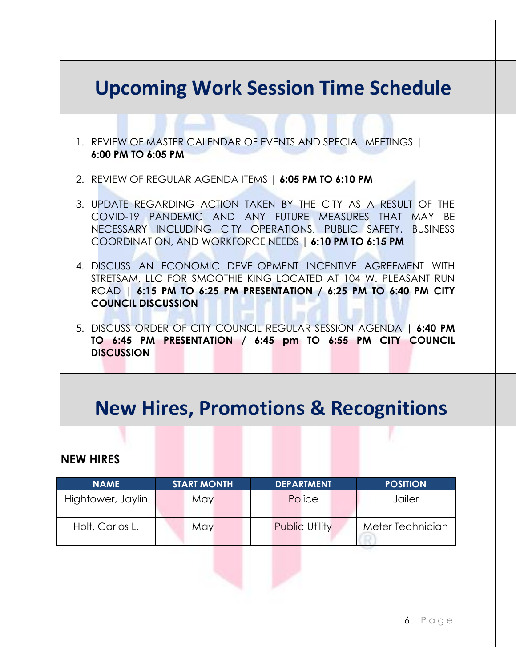#### **Upcoming Work Session Time Schedule**

- 1. REVIEW OF MASTER CALENDAR OF EVENTS AND SPECIAL MEETINGS **| 6:00 PM TO 6:05 PM**
- 2. REVIEW OF REGULAR AGENDA ITEMS **| 6:05 PM TO 6:10 PM**
- 3. UPDATE REGARDING ACTION TAKEN BY THE CITY AS A RESULT OF THE COVID-19 PANDEMIC AND ANY FUTURE MEASURES THAT MAY BE NECESSARY INCLUDING CITY OPERATIONS, PUBLIC SAFETY, BUSINESS COORDINATION, AND WORKFORCE NEEDS **| 6:10 PM TO 6:15 PM**
- 4. DISCUSS AN ECONOMIC DEVELOPMENT INCENTIVE AGREEMENT WITH STRETSAM, LLC FOR SMOOTHIE KING LOCATED AT 104 W. PLEASANT RUN ROAD **| 6:15 PM TO 6:25 PM PRESENTATION / 6:25 PM TO 6:40 PM CITY COUNCIL DISCUSSION**
- 5. DISCUSS ORDER OF CITY COUNCIL REGULAR SESSION AGENDA **| 6:40 PM TO 6:45 PM PRESENTATION / 6:45 pm TO 6:55 PM CITY COUNCIL DISCUSSION**

### **New Hires, Promotions & Recognitions**

#### **NEW HIRES**

| <b>NAME</b>       | <b>START MONTH</b> | <b>DEPARTMENT</b>     | <b>POSITION</b>  |
|-------------------|--------------------|-----------------------|------------------|
| Hightower, Jaylin | May                | Police                | Jailer           |
| Holt, Carlos L.   | May                | <b>Public Utility</b> | Meter Technician |